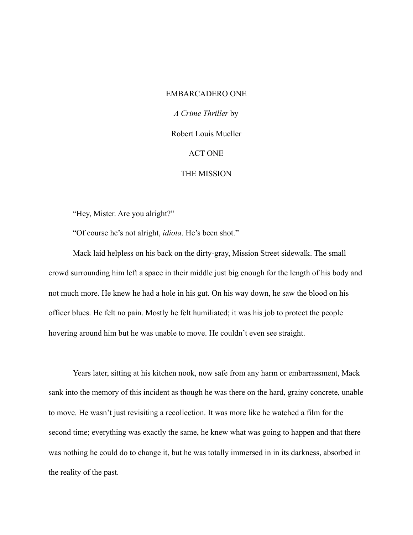#### EMBARCADERO ONE

*A Crime Thriller* by

Robert Louis Mueller

#### ACT ONE

# THE MISSION

"Hey, Mister. Are you alright?"

"Of course he's not alright, *idiota*. He's been shot."

Mack laid helpless on his back on the dirty-gray, Mission Street sidewalk. The small crowd surrounding him left a space in their middle just big enough for the length of his body and not much more. He knew he had a hole in his gut. On his way down, he saw the blood on his officer blues. He felt no pain. Mostly he felt humiliated; it was his job to protect the people hovering around him but he was unable to move. He couldn't even see straight.

Years later, sitting at his kitchen nook, now safe from any harm or embarrassment, Mack sank into the memory of this incident as though he was there on the hard, grainy concrete, unable to move. He wasn't just revisiting a recollection. It was more like he watched a film for the second time; everything was exactly the same, he knew what was going to happen and that there was nothing he could do to change it, but he was totally immersed in in its darkness, absorbed in the reality of the past.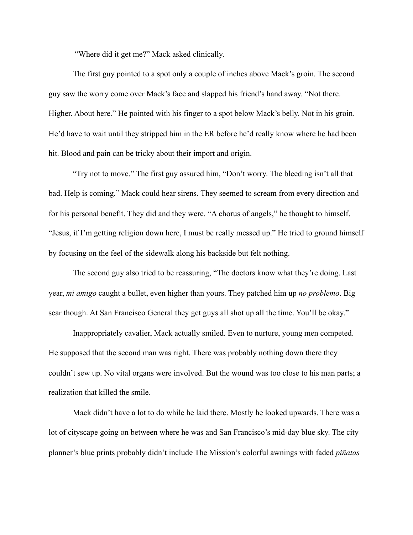"Where did it get me?" Mack asked clinically.

The first guy pointed to a spot only a couple of inches above Mack's groin. The second guy saw the worry come over Mack's face and slapped his friend's hand away. "Not there. Higher. About here." He pointed with his finger to a spot below Mack's belly. Not in his groin. He'd have to wait until they stripped him in the ER before he'd really know where he had been hit. Blood and pain can be tricky about their import and origin.

"Try not to move." The first guy assured him, "Don't worry. The bleeding isn't all that bad. Help is coming." Mack could hear sirens. They seemed to scream from every direction and for his personal benefit. They did and they were. "A chorus of angels," he thought to himself. "Jesus, if I'm getting religion down here, I must be really messed up." He tried to ground himself by focusing on the feel of the sidewalk along his backside but felt nothing.

The second guy also tried to be reassuring, "The doctors know what they're doing. Last year, *mi amigo* caught a bullet, even higher than yours. They patched him up *no problemo*. Big scar though. At San Francisco General they get guys all shot up all the time. You'll be okay."

Inappropriately cavalier, Mack actually smiled. Even to nurture, young men competed. He supposed that the second man was right. There was probably nothing down there they couldn't sew up. No vital organs were involved. But the wound was too close to his man parts; a realization that killed the smile.

Mack didn't have a lot to do while he laid there. Mostly he looked upwards. There was a lot of cityscape going on between where he was and San Francisco's mid-day blue sky. The city planner's blue prints probably didn't include The Mission's colorful awnings with faded *piñatas*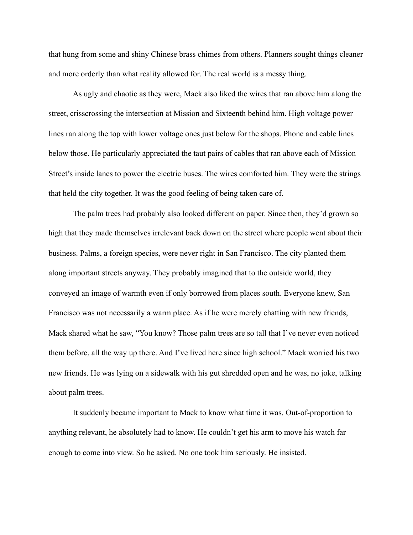that hung from some and shiny Chinese brass chimes from others. Planners sought things cleaner and more orderly than what reality allowed for. The real world is a messy thing.

As ugly and chaotic as they were, Mack also liked the wires that ran above him along the street, crisscrossing the intersection at Mission and Sixteenth behind him. High voltage power lines ran along the top with lower voltage ones just below for the shops. Phone and cable lines below those. He particularly appreciated the taut pairs of cables that ran above each of Mission Street's inside lanes to power the electric buses. The wires comforted him. They were the strings that held the city together. It was the good feeling of being taken care of.

The palm trees had probably also looked different on paper. Since then, they'd grown so high that they made themselves irrelevant back down on the street where people went about their business. Palms, a foreign species, were never right in San Francisco. The city planted them along important streets anyway. They probably imagined that to the outside world, they conveyed an image of warmth even if only borrowed from places south. Everyone knew, San Francisco was not necessarily a warm place. As if he were merely chatting with new friends, Mack shared what he saw, "You know? Those palm trees are so tall that I've never even noticed them before, all the way up there. And I've lived here since high school." Mack worried his two new friends. He was lying on a sidewalk with his gut shredded open and he was, no joke, talking about palm trees.

It suddenly became important to Mack to know what time it was. Out-of-proportion to anything relevant, he absolutely had to know. He couldn't get his arm to move his watch far enough to come into view. So he asked. No one took him seriously. He insisted.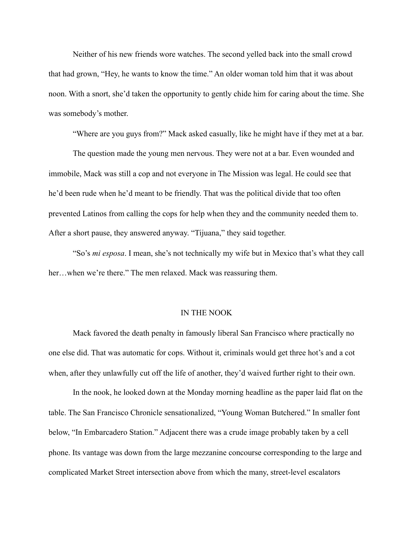Neither of his new friends wore watches. The second yelled back into the small crowd that had grown, "Hey, he wants to know the time." An older woman told him that it was about noon. With a snort, she'd taken the opportunity to gently chide him for caring about the time. She was somebody's mother.

"Where are you guys from?" Mack asked casually, like he might have if they met at a bar.

The question made the young men nervous. They were not at a bar. Even wounded and immobile, Mack was still a cop and not everyone in The Mission was legal. He could see that he'd been rude when he'd meant to be friendly. That was the political divide that too often prevented Latinos from calling the cops for help when they and the community needed them to. After a short pause, they answered anyway. "Tijuana," they said together.

"So's *mi esposa*. I mean, she's not technically my wife but in Mexico that's what they call her...when we're there." The men relaxed. Mack was reassuring them.

# IN THE NOOK

Mack favored the death penalty in famously liberal San Francisco where practically no one else did. That was automatic for cops. Without it, criminals would get three hot's and a cot when, after they unlawfully cut off the life of another, they'd waived further right to their own.

In the nook, he looked down at the Monday morning headline as the paper laid flat on the table. The San Francisco Chronicle sensationalized, "Young Woman Butchered." In smaller font below, "In Embarcadero Station." Adjacent there was a crude image probably taken by a cell phone. Its vantage was down from the large mezzanine concourse corresponding to the large and complicated Market Street intersection above from which the many, street-level escalators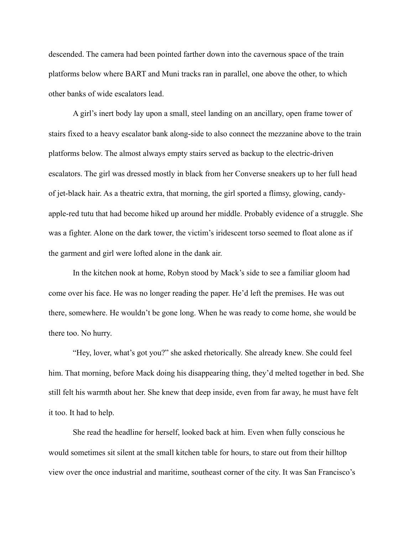descended. The camera had been pointed farther down into the cavernous space of the train platforms below where BART and Muni tracks ran in parallel, one above the other, to which other banks of wide escalators lead.

A girl's inert body lay upon a small, steel landing on an ancillary, open frame tower of stairs fixed to a heavy escalator bank along-side to also connect the mezzanine above to the train platforms below. The almost always empty stairs served as backup to the electric-driven escalators. The girl was dressed mostly in black from her Converse sneakers up to her full head of jet-black hair. As a theatric extra, that morning, the girl sported a flimsy, glowing, candyapple-red tutu that had become hiked up around her middle. Probably evidence of a struggle. She was a fighter. Alone on the dark tower, the victim's iridescent torso seemed to float alone as if the garment and girl were lofted alone in the dank air.

In the kitchen nook at home, Robyn stood by Mack's side to see a familiar gloom had come over his face. He was no longer reading the paper. He'd left the premises. He was out there, somewhere. He wouldn't be gone long. When he was ready to come home, she would be there too. No hurry.

"Hey, lover, what's got you?" she asked rhetorically. She already knew. She could feel him. That morning, before Mack doing his disappearing thing, they'd melted together in bed. She still felt his warmth about her. She knew that deep inside, even from far away, he must have felt it too. It had to help.

She read the headline for herself, looked back at him. Even when fully conscious he would sometimes sit silent at the small kitchen table for hours, to stare out from their hilltop view over the once industrial and maritime, southeast corner of the city. It was San Francisco's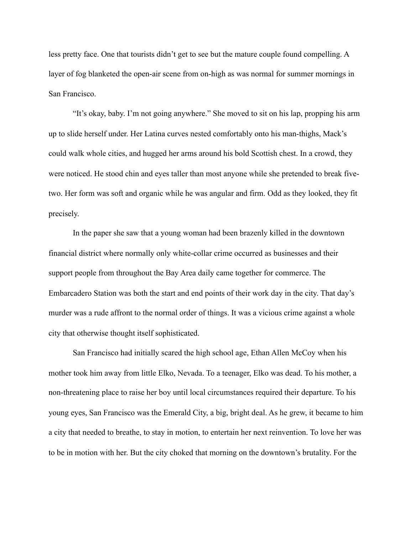less pretty face. One that tourists didn't get to see but the mature couple found compelling. A layer of fog blanketed the open-air scene from on-high as was normal for summer mornings in San Francisco.

"It's okay, baby. I'm not going anywhere." She moved to sit on his lap, propping his arm up to slide herself under. Her Latina curves nested comfortably onto his man-thighs, Mack's could walk whole cities, and hugged her arms around his bold Scottish chest. In a crowd, they were noticed. He stood chin and eyes taller than most anyone while she pretended to break fivetwo. Her form was soft and organic while he was angular and firm. Odd as they looked, they fit precisely.

In the paper she saw that a young woman had been brazenly killed in the downtown financial district where normally only white-collar crime occurred as businesses and their support people from throughout the Bay Area daily came together for commerce. The Embarcadero Station was both the start and end points of their work day in the city. That day's murder was a rude affront to the normal order of things. It was a vicious crime against a whole city that otherwise thought itself sophisticated.

San Francisco had initially scared the high school age, Ethan Allen McCoy when his mother took him away from little Elko, Nevada. To a teenager, Elko was dead. To his mother, a non-threatening place to raise her boy until local circumstances required their departure. To his young eyes, San Francisco was the Emerald City, a big, bright deal. As he grew, it became to him a city that needed to breathe, to stay in motion, to entertain her next reinvention. To love her was to be in motion with her. But the city choked that morning on the downtown's brutality. For the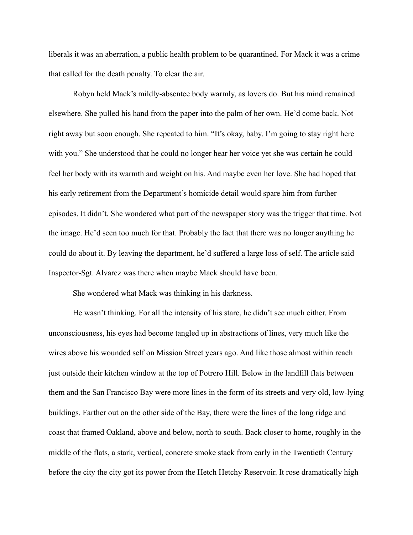liberals it was an aberration, a public health problem to be quarantined. For Mack it was a crime that called for the death penalty. To clear the air.

Robyn held Mack's mildly-absentee body warmly, as lovers do. But his mind remained elsewhere. She pulled his hand from the paper into the palm of her own. He'd come back. Not right away but soon enough. She repeated to him. "It's okay, baby. I'm going to stay right here with you." She understood that he could no longer hear her voice yet she was certain he could feel her body with its warmth and weight on his. And maybe even her love. She had hoped that his early retirement from the Department's homicide detail would spare him from further episodes. It didn't. She wondered what part of the newspaper story was the trigger that time. Not the image. He'd seen too much for that. Probably the fact that there was no longer anything he could do about it. By leaving the department, he'd suffered a large loss of self. The article said Inspector-Sgt. Alvarez was there when maybe Mack should have been.

She wondered what Mack was thinking in his darkness.

He wasn't thinking. For all the intensity of his stare, he didn't see much either. From unconsciousness, his eyes had become tangled up in abstractions of lines, very much like the wires above his wounded self on Mission Street years ago. And like those almost within reach just outside their kitchen window at the top of Potrero Hill. Below in the landfill flats between them and the San Francisco Bay were more lines in the form of its streets and very old, low-lying buildings. Farther out on the other side of the Bay, there were the lines of the long ridge and coast that framed Oakland, above and below, north to south. Back closer to home, roughly in the middle of the flats, a stark, vertical, concrete smoke stack from early in the Twentieth Century before the city the city got its power from the Hetch Hetchy Reservoir. It rose dramatically high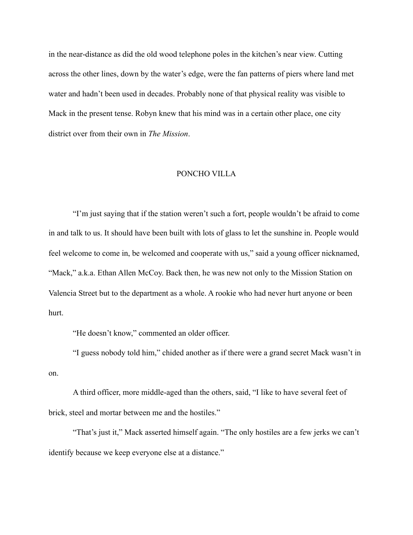in the near-distance as did the old wood telephone poles in the kitchen's near view. Cutting across the other lines, down by the water's edge, were the fan patterns of piers where land met water and hadn't been used in decades. Probably none of that physical reality was visible to Mack in the present tense. Robyn knew that his mind was in a certain other place, one city district over from their own in *The Mission*.

#### PONCHO VILLA

"I'm just saying that if the station weren't such a fort, people wouldn't be afraid to come in and talk to us. It should have been built with lots of glass to let the sunshine in. People would feel welcome to come in, be welcomed and cooperate with us," said a young officer nicknamed, "Mack," a.k.a. Ethan Allen McCoy. Back then, he was new not only to the Mission Station on Valencia Street but to the department as a whole. A rookie who had never hurt anyone or been hurt.

"He doesn't know," commented an older officer.

"I guess nobody told him," chided another as if there were a grand secret Mack wasn't in on.

A third officer, more middle-aged than the others, said, "I like to have several feet of brick, steel and mortar between me and the hostiles."

"That's just it," Mack asserted himself again. "The only hostiles are a few jerks we can't identify because we keep everyone else at a distance."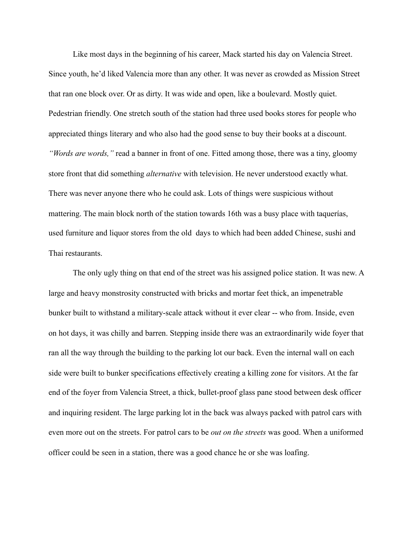Like most days in the beginning of his career, Mack started his day on Valencia Street. Since youth, he'd liked Valencia more than any other. It was never as crowded as Mission Street that ran one block over. Or as dirty. It was wide and open, like a boulevard. Mostly quiet. Pedestrian friendly. One stretch south of the station had three used books stores for people who appreciated things literary and who also had the good sense to buy their books at a discount. *"Words are words,"* read a banner in front of one. Fitted among those, there was a tiny, gloomy store front that did something *alternative* with television. He never understood exactly what. There was never anyone there who he could ask. Lots of things were suspicious without mattering. The main block north of the station towards 16th was a busy place with taquerías, used furniture and liquor stores from the old days to which had been added Chinese, sushi and Thai restaurants.

The only ugly thing on that end of the street was his assigned police station. It was new. A large and heavy monstrosity constructed with bricks and mortar feet thick, an impenetrable bunker built to withstand a military-scale attack without it ever clear -- who from. Inside, even on hot days, it was chilly and barren. Stepping inside there was an extraordinarily wide foyer that ran all the way through the building to the parking lot our back. Even the internal wall on each side were built to bunker specifications effectively creating a killing zone for visitors. At the far end of the foyer from Valencia Street, a thick, bullet-proof glass pane stood between desk officer and inquiring resident. The large parking lot in the back was always packed with patrol cars with even more out on the streets. For patrol cars to be *out on the streets* was good. When a uniformed officer could be seen in a station, there was a good chance he or she was loafing.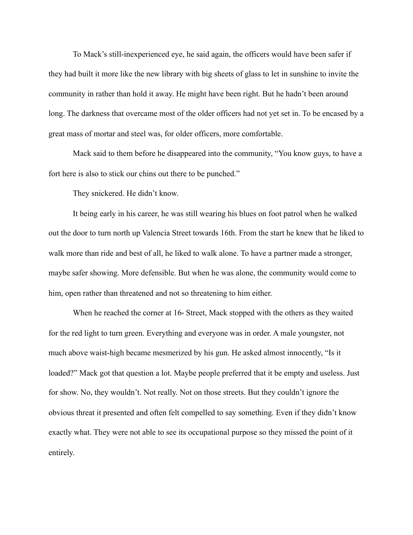To Mack's still-inexperienced eye, he said again, the officers would have been safer if they had built it more like the new library with big sheets of glass to let in sunshine to invite the community in rather than hold it away. He might have been right. But he hadn't been around long. The darkness that overcame most of the older officers had not yet set in. To be encased by a great mass of mortar and steel was, for older officers, more comfortable.

Mack said to them before he disappeared into the community, "You know guys, to have a fort here is also to stick our chins out there to be punched."

They snickered. He didn't know.

It being early in his career, he was still wearing his blues on foot patrol when he walked out the door to turn north up Valencia Street towards 16th. From the start he knew that he liked to walk more than ride and best of all, he liked to walk alone. To have a partner made a stronger, maybe safer showing. More defensible. But when he was alone, the community would come to him, open rather than threatened and not so threatening to him either.

When he reached the corner at  $16<sup>th</sup>$  Street, Mack stopped with the others as they waited for the red light to turn green. Everything and everyone was in order. A male youngster, not much above waist-high became mesmerized by his gun. He asked almost innocently, "Is it loaded?" Mack got that question a lot. Maybe people preferred that it be empty and useless. Just for show. No, they wouldn't. Not really. Not on those streets. But they couldn't ignore the obvious threat it presented and often felt compelled to say something. Even if they didn't know exactly what. They were not able to see its occupational purpose so they missed the point of it entirely.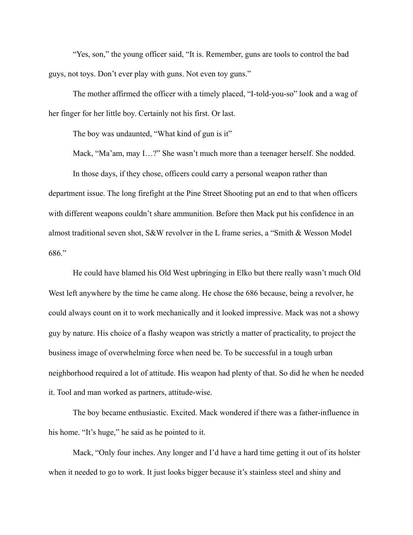"Yes, son," the young officer said, "It is. Remember, guns are tools to control the bad guys, not toys. Don't ever play with guns. Not even toy guns."

The mother affirmed the officer with a timely placed, "I-told-you-so" look and a wag of her finger for her little boy. Certainly not his first. Or last.

The boy was undaunted, "What kind of gun is it"

Mack, "Ma'am, may I…?" She wasn't much more than a teenager herself. She nodded. In those days, if they chose, officers could carry a personal weapon rather than department issue. The long firefight at the Pine Street Shooting put an end to that when officers with different weapons couldn't share ammunition. Before then Mack put his confidence in an almost traditional seven shot, S&W revolver in the L frame series, a "Smith & Wesson Model 686."

He could have blamed his Old West upbringing in Elko but there really wasn't much Old West left anywhere by the time he came along. He chose the 686 because, being a revolver, he could always count on it to work mechanically and it looked impressive. Mack was not a showy guy by nature. His choice of a flashy weapon was strictly a matter of practicality, to project the business image of overwhelming force when need be. To be successful in a tough urban neighborhood required a lot of attitude. His weapon had plenty of that. So did he when he needed it. Tool and man worked as partners, attitude-wise.

The boy became enthusiastic. Excited. Mack wondered if there was a father-influence in his home. "It's huge," he said as he pointed to it.

Mack, "Only four inches. Any longer and I'd have a hard time getting it out of its holster when it needed to go to work. It just looks bigger because it's stainless steel and shiny and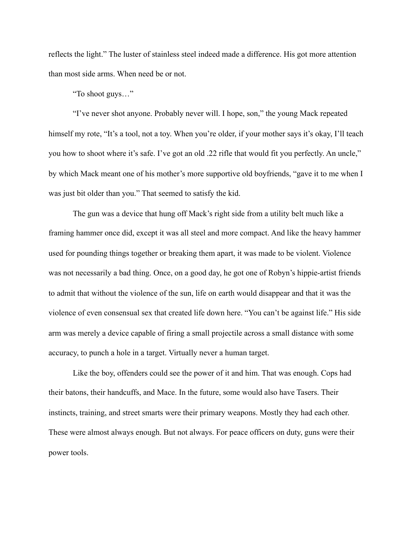reflects the light." The luster of stainless steel indeed made a difference. His got more attention than most side arms. When need be or not.

"To shoot guys…"

"I've never shot anyone. Probably never will. I hope, son," the young Mack repeated himself my rote, "It's a tool, not a toy. When you're older, if your mother says it's okay, I'll teach you how to shoot where it's safe. I've got an old .22 rifle that would fit you perfectly. An uncle," by which Mack meant one of his mother's more supportive old boyfriends, "gave it to me when I was just bit older than you." That seemed to satisfy the kid.

The gun was a device that hung off Mack's right side from a utility belt much like a framing hammer once did, except it was all steel and more compact. And like the heavy hammer used for pounding things together or breaking them apart, it was made to be violent. Violence was not necessarily a bad thing. Once, on a good day, he got one of Robyn's hippie-artist friends to admit that without the violence of the sun, life on earth would disappear and that it was the violence of even consensual sex that created life down here. "You can't be against life." His side arm was merely a device capable of firing a small projectile across a small distance with some accuracy, to punch a hole in a target. Virtually never a human target.

Like the boy, offenders could see the power of it and him. That was enough. Cops had their batons, their handcuffs, and Mace. In the future, some would also have Tasers. Their instincts, training, and street smarts were their primary weapons. Mostly they had each other. These were almost always enough. But not always. For peace officers on duty, guns were their power tools.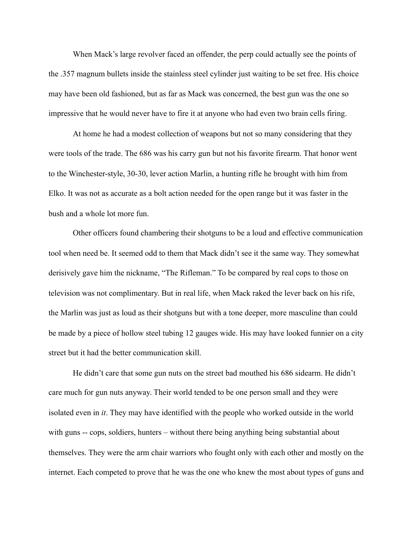When Mack's large revolver faced an offender, the perp could actually see the points of the .357 magnum bullets inside the stainless steel cylinder just waiting to be set free. His choice may have been old fashioned, but as far as Mack was concerned, the best gun was the one so impressive that he would never have to fire it at anyone who had even two brain cells firing.

At home he had a modest collection of weapons but not so many considering that they were tools of the trade. The 686 was his carry gun but not his favorite firearm. That honor went to the Winchester-style, 30-30, lever action Marlin, a hunting rifle he brought with him from Elko. It was not as accurate as a bolt action needed for the open range but it was faster in the bush and a whole lot more fun.

Other officers found chambering their shotguns to be a loud and effective communication tool when need be. It seemed odd to them that Mack didn't see it the same way. They somewhat derisively gave him the nickname, "The Rifleman." To be compared by real cops to those on television was not complimentary. But in real life, when Mack raked the lever back on his rife, the Marlin was just as loud as their shotguns but with a tone deeper, more masculine than could be made by a piece of hollow steel tubing 12 gauges wide. His may have looked funnier on a city street but it had the better communication skill.

He didn't care that some gun nuts on the street bad mouthed his 686 sidearm. He didn't care much for gun nuts anyway. Their world tended to be one person small and they were isolated even in *it*. They may have identified with the people who worked outside in the world with guns -- cops, soldiers, hunters – without there being anything being substantial about themselves. They were the arm chair warriors who fought only with each other and mostly on the internet. Each competed to prove that he was the one who knew the most about types of guns and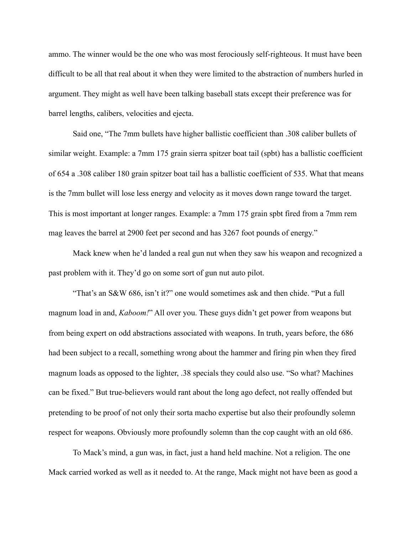ammo. The winner would be the one who was most ferociously self-righteous. It must have been difficult to be all that real about it when they were limited to the abstraction of numbers hurled in argument. They might as well have been talking baseball stats except their preference was for barrel lengths, calibers, velocities and ejecta.

Said one, "The 7mm bullets have higher ballistic coefficient than .308 caliber bullets of similar weight. Example: a 7mm 175 grain sierra spitzer boat tail (spbt) has a ballistic coefficient of 654 a .308 caliber 180 grain spitzer boat tail has a ballistic coefficient of 535. What that means is the 7mm bullet will lose less energy and velocity as it moves down range toward the target. This is most important at longer ranges. Example: a 7mm 175 grain spbt fired from a 7mm rem mag leaves the barrel at 2900 feet per second and has 3267 foot pounds of energy."

Mack knew when he'd landed a real gun nut when they saw his weapon and recognized a past problem with it. They'd go on some sort of gun nut auto pilot.

"That's an S&W 686, isn't it?" one would sometimes ask and then chide. "Put a full magnum load in and, *Kaboom!*" All over you. These guys didn't get power from weapons but from being expert on odd abstractions associated with weapons. In truth, years before, the 686 had been subject to a recall, something wrong about the hammer and firing pin when they fired magnum loads as opposed to the lighter, .38 specials they could also use. "So what? Machines can be fixed." But true-believers would rant about the long ago defect, not really offended but pretending to be proof of not only their sorta macho expertise but also their profoundly solemn respect for weapons. Obviously more profoundly solemn than the cop caught with an old 686.

To Mack's mind, a gun was, in fact, just a hand held machine. Not a religion. The one Mack carried worked as well as it needed to. At the range, Mack might not have been as good a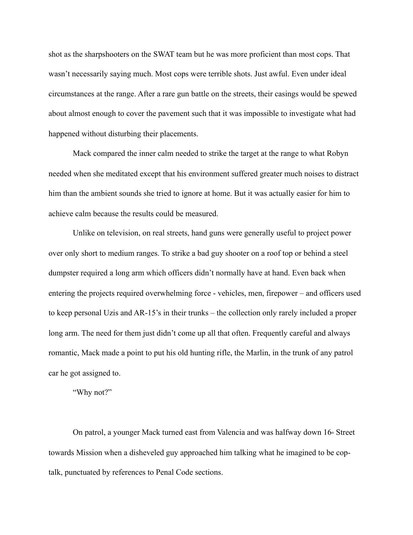shot as the sharpshooters on the SWAT team but he was more proficient than most cops. That wasn't necessarily saying much. Most cops were terrible shots. Just awful. Even under ideal circumstances at the range. After a rare gun battle on the streets, their casings would be spewed about almost enough to cover the pavement such that it was impossible to investigate what had happened without disturbing their placements.

Mack compared the inner calm needed to strike the target at the range to what Robyn needed when she meditated except that his environment suffered greater much noises to distract him than the ambient sounds she tried to ignore at home. But it was actually easier for him to achieve calm because the results could be measured.

Unlike on television, on real streets, hand guns were generally useful to project power over only short to medium ranges. To strike a bad guy shooter on a roof top or behind a steel dumpster required a long arm which officers didn't normally have at hand. Even back when entering the projects required overwhelming force - vehicles, men, firepower – and officers used to keep personal Uzis and AR-15's in their trunks – the collection only rarely included a proper long arm. The need for them just didn't come up all that often. Frequently careful and always romantic, Mack made a point to put his old hunting rifle, the Marlin, in the trunk of any patrol car he got assigned to.

"Why not?"

On patrol, a younger Mack turned east from Valencia and was halfway down  $16<sup>th</sup>$  Street towards Mission when a disheveled guy approached him talking what he imagined to be coptalk, punctuated by references to Penal Code sections.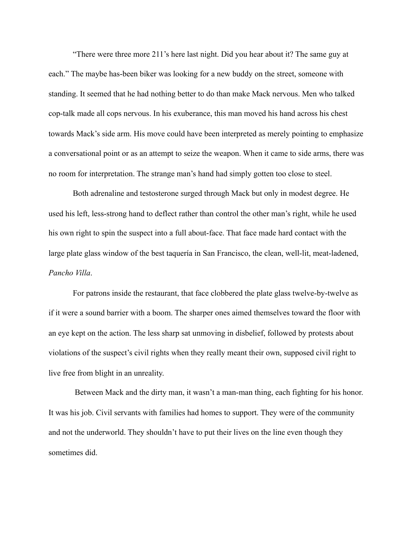"There were three more 211's here last night. Did you hear about it? The same guy at each." The maybe has-been biker was looking for a new buddy on the street, someone with standing. It seemed that he had nothing better to do than make Mack nervous. Men who talked cop-talk made all cops nervous. In his exuberance, this man moved his hand across his chest towards Mack's side arm. His move could have been interpreted as merely pointing to emphasize a conversational point or as an attempt to seize the weapon. When it came to side arms, there was no room for interpretation. The strange man's hand had simply gotten too close to steel.

Both adrenaline and testosterone surged through Mack but only in modest degree. He used his left, less-strong hand to deflect rather than control the other man's right, while he used his own right to spin the suspect into a full about-face. That face made hard contact with the large plate glass window of the best taquería in San Francisco, the clean, well-lit, meat-ladened, *Pancho Villa*.

For patrons inside the restaurant, that face clobbered the plate glass twelve-by-twelve as if it were a sound barrier with a boom. The sharper ones aimed themselves toward the floor with an eye kept on the action. The less sharp sat unmoving in disbelief, followed by protests about violations of the suspect's civil rights when they really meant their own, supposed civil right to live free from blight in an unreality.

 Between Mack and the dirty man, it wasn't a man-man thing, each fighting for his honor. It was his job. Civil servants with families had homes to support. They were of the community and not the underworld. They shouldn't have to put their lives on the line even though they sometimes did.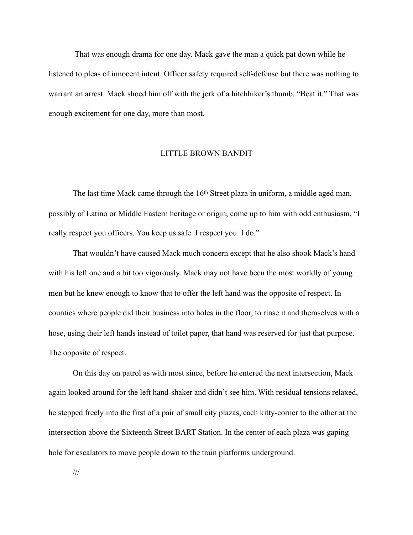That was enough drama for one day. Mack gave the man a quick pat down while he listened to pleas of innocent intent. Officer safety required self-defense but there was nothing to warrant an arrest. Mack shoed him off with the jerk of a hitchhiker's thumb. "Beat it." That was enough excitement for one day, more than most.

#### LITTLE BROWN BANDIT

The last time Mack came through the 16<sup>th</sup> Street plaza in uniform, a middle aged man, possibly of Latino or Middle Eastern heritage or origin, come up to him with odd enthusiasm, "I really respect you officers. You keep us safe. I respect you. I do."

That wouldn't have caused Mack much concern except that he also shook Mack's hand with his left one and a bit too vigorously. Mack may not have been the most worldly of young men but he knew enough to know that to offer the left hand was the opposite of respect. In counties where people did their business into holes in the floor, to rinse it and themselves with a hose, using their left hands instead of toilet paper, that hand was reserved for just that purpose. The opposite of respect.

On this day on patrol as with most since, before he entered the next intersection, Mack again looked around for the left hand-shaker and didn't see him. With residual tensions relaxed, he stepped freely into the first of a pair of small city plazas, each kitty-corner to the other at the intersection above the Sixteenth Street BART Station. In the center of each plaza was gaping hole for escalators to move people down to the train platforms underground.

///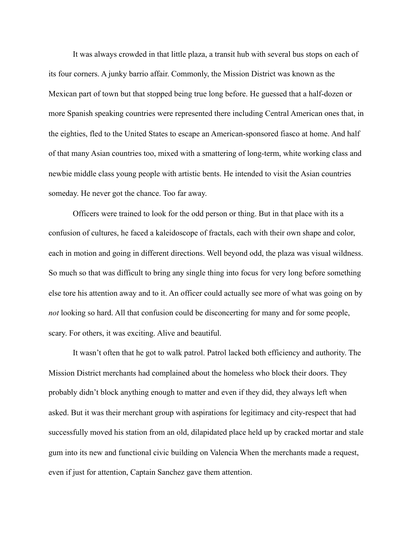It was always crowded in that little plaza, a transit hub with several bus stops on each of its four corners. A junky barrio affair. Commonly, the Mission District was known as the Mexican part of town but that stopped being true long before. He guessed that a half-dozen or more Spanish speaking countries were represented there including Central American ones that, in the eighties, fled to the United States to escape an American-sponsored fiasco at home. And half of that many Asian countries too, mixed with a smattering of long-term, white working class and newbie middle class young people with artistic bents. He intended to visit the Asian countries someday. He never got the chance. Too far away.

Officers were trained to look for the odd person or thing. But in that place with its a confusion of cultures, he faced a kaleidoscope of fractals, each with their own shape and color, each in motion and going in different directions. Well beyond odd, the plaza was visual wildness. So much so that was difficult to bring any single thing into focus for very long before something else tore his attention away and to it. An officer could actually see more of what was going on by *not* looking so hard. All that confusion could be disconcerting for many and for some people, scary. For others, it was exciting. Alive and beautiful.

It wasn't often that he got to walk patrol. Patrol lacked both efficiency and authority. The Mission District merchants had complained about the homeless who block their doors. They probably didn't block anything enough to matter and even if they did, they always left when asked. But it was their merchant group with aspirations for legitimacy and city-respect that had successfully moved his station from an old, dilapidated place held up by cracked mortar and stale gum into its new and functional civic building on Valencia When the merchants made a request, even if just for attention, Captain Sanchez gave them attention.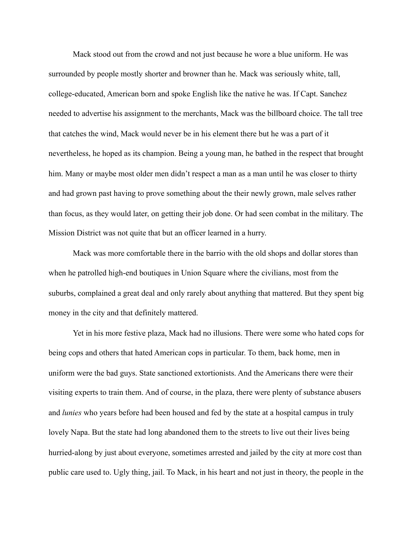Mack stood out from the crowd and not just because he wore a blue uniform. He was surrounded by people mostly shorter and browner than he. Mack was seriously white, tall, college-educated, American born and spoke English like the native he was. If Capt. Sanchez needed to advertise his assignment to the merchants, Mack was the billboard choice. The tall tree that catches the wind, Mack would never be in his element there but he was a part of it nevertheless, he hoped as its champion. Being a young man, he bathed in the respect that brought him. Many or maybe most older men didn't respect a man as a man until he was closer to thirty and had grown past having to prove something about the their newly grown, male selves rather than focus, as they would later, on getting their job done. Or had seen combat in the military. The Mission District was not quite that but an officer learned in a hurry.

Mack was more comfortable there in the barrio with the old shops and dollar stores than when he patrolled high-end boutiques in Union Square where the civilians, most from the suburbs, complained a great deal and only rarely about anything that mattered. But they spent big money in the city and that definitely mattered.

Yet in his more festive plaza, Mack had no illusions. There were some who hated cops for being cops and others that hated American cops in particular. To them, back home, men in uniform were the bad guys. State sanctioned extortionists. And the Americans there were their visiting experts to train them. And of course, in the plaza, there were plenty of substance abusers and *lunies* who years before had been housed and fed by the state at a hospital campus in truly lovely Napa. But the state had long abandoned them to the streets to live out their lives being hurried-along by just about everyone, sometimes arrested and jailed by the city at more cost than public care used to. Ugly thing, jail. To Mack, in his heart and not just in theory, the people in the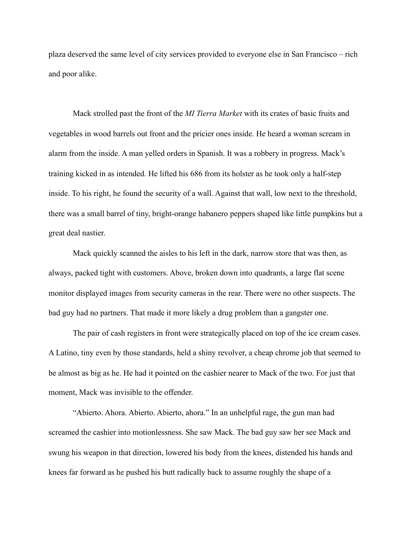plaza deserved the same level of city services provided to everyone else in San Francisco – rich and poor alike.

Mack strolled past the front of the *MI Tierra Market* with its crates of basic fruits and vegetables in wood barrels out front and the pricier ones inside. He heard a woman scream in alarm from the inside. A man yelled orders in Spanish. It was a robbery in progress. Mack's training kicked in as intended. He lifted his 686 from its holster as he took only a half-step inside. To his right, he found the security of a wall. Against that wall, low next to the threshold, there was a small barrel of tiny, bright-orange habanero peppers shaped like little pumpkins but a great deal nastier.

Mack quickly scanned the aisles to his left in the dark, narrow store that was then, as always, packed tight with customers. Above, broken down into quadrants, a large flat scene monitor displayed images from security cameras in the rear. There were no other suspects. The bad guy had no partners. That made it more likely a drug problem than a gangster one.

The pair of cash registers in front were strategically placed on top of the ice cream cases. A Latino, tiny even by those standards, held a shiny revolver, a cheap chrome job that seemed to be almost as big as he. He had it pointed on the cashier nearer to Mack of the two. For just that moment, Mack was invisible to the offender.

"Abierto. Ahora. Abierto. Abierto, ahora." In an unhelpful rage, the gun man had screamed the cashier into motionlessness. She saw Mack. The bad guy saw her see Mack and swung his weapon in that direction, lowered his body from the knees, distended his hands and knees far forward as he pushed his butt radically back to assume roughly the shape of a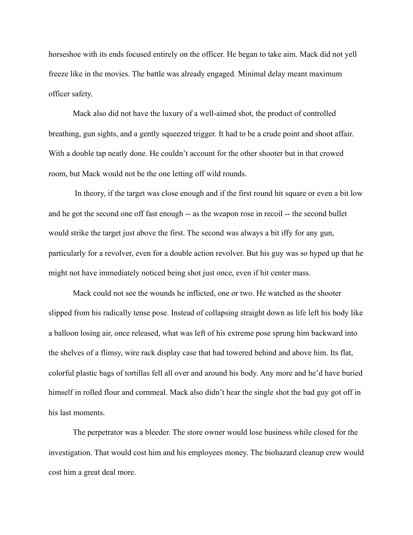horseshoe with its ends focused entirely on the officer. He began to take aim. Mack did not yell freeze like in the movies. The battle was already engaged. Minimal delay meant maximum officer safety.

Mack also did not have the luxury of a well-aimed shot, the product of controlled breathing, gun sights, and a gently squeezed trigger. It had to be a crude point and shoot affair. With a double tap neatly done. He couldn't account for the other shooter but in that crowed room, but Mack would not be the one letting off wild rounds.

 In theory, if the target was close enough and if the first round hit square or even a bit low and he got the second one off fast enough -- as the weapon rose in recoil -- the second bullet would strike the target just above the first. The second was always a bit iffy for any gun, particularly for a revolver, even for a double action revolver. But his guy was so hyped up that he might not have immediately noticed being shot just once, even if hit center mass.

Mack could not see the wounds he inflicted, one or two. He watched as the shooter slipped from his radically tense pose. Instead of collapsing straight down as life left his body like a balloon losing air, once released, what was left of his extreme pose sprung him backward into the shelves of a flimsy, wire rack display case that had towered behind and above him. Its flat, colorful plastic bags of tortillas fell all over and around his body. Any more and he'd have buried himself in rolled flour and cornmeal. Mack also didn't hear the single shot the bad guy got off in his last moments.

The perpetrator was a bleeder. The store owner would lose business while closed for the investigation. That would cost him and his employees money. The biohazard cleanup crew would cost him a great deal more.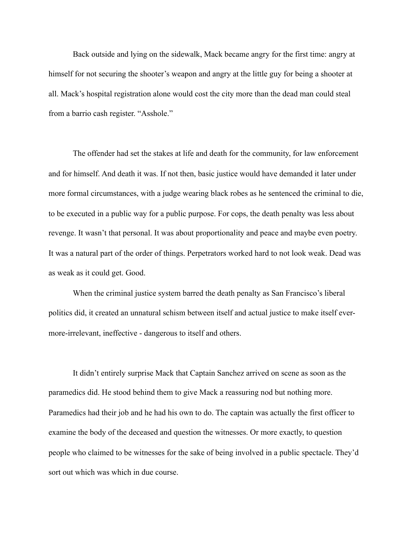Back outside and lying on the sidewalk, Mack became angry for the first time: angry at himself for not securing the shooter's weapon and angry at the little guy for being a shooter at all. Mack's hospital registration alone would cost the city more than the dead man could steal from a barrio cash register. "Asshole."

The offender had set the stakes at life and death for the community, for law enforcement and for himself. And death it was. If not then, basic justice would have demanded it later under more formal circumstances, with a judge wearing black robes as he sentenced the criminal to die, to be executed in a public way for a public purpose. For cops, the death penalty was less about revenge. It wasn't that personal. It was about proportionality and peace and maybe even poetry. It was a natural part of the order of things. Perpetrators worked hard to not look weak. Dead was as weak as it could get. Good.

When the criminal justice system barred the death penalty as San Francisco's liberal politics did, it created an unnatural schism between itself and actual justice to make itself evermore-irrelevant, ineffective - dangerous to itself and others.

It didn't entirely surprise Mack that Captain Sanchez arrived on scene as soon as the paramedics did. He stood behind them to give Mack a reassuring nod but nothing more. Paramedics had their job and he had his own to do. The captain was actually the first officer to examine the body of the deceased and question the witnesses. Or more exactly, to question people who claimed to be witnesses for the sake of being involved in a public spectacle. They'd sort out which was which in due course.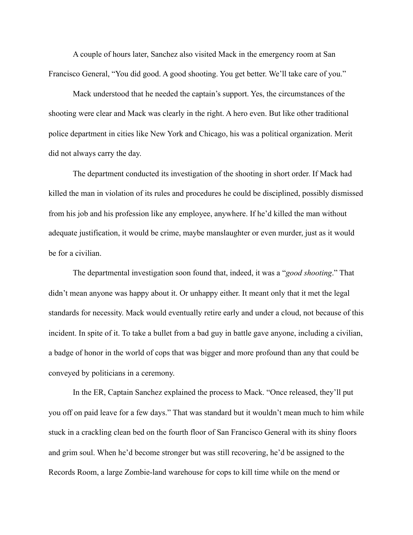A couple of hours later, Sanchez also visited Mack in the emergency room at San Francisco General, "You did good. A good shooting. You get better. We'll take care of you."

Mack understood that he needed the captain's support. Yes, the circumstances of the shooting were clear and Mack was clearly in the right. A hero even. But like other traditional police department in cities like New York and Chicago, his was a political organization. Merit did not always carry the day.

The department conducted its investigation of the shooting in short order. If Mack had killed the man in violation of its rules and procedures he could be disciplined, possibly dismissed from his job and his profession like any employee, anywhere. If he'd killed the man without adequate justification, it would be crime, maybe manslaughter or even murder, just as it would be for a civilian.

The departmental investigation soon found that, indeed, it was a "*good shooting*." That didn't mean anyone was happy about it. Or unhappy either. It meant only that it met the legal standards for necessity. Mack would eventually retire early and under a cloud, not because of this incident. In spite of it. To take a bullet from a bad guy in battle gave anyone, including a civilian, a badge of honor in the world of cops that was bigger and more profound than any that could be conveyed by politicians in a ceremony.

In the ER, Captain Sanchez explained the process to Mack. "Once released, they'll put you off on paid leave for a few days." That was standard but it wouldn't mean much to him while stuck in a crackling clean bed on the fourth floor of San Francisco General with its shiny floors and grim soul. When he'd become stronger but was still recovering, he'd be assigned to the Records Room, a large Zombie-land warehouse for cops to kill time while on the mend or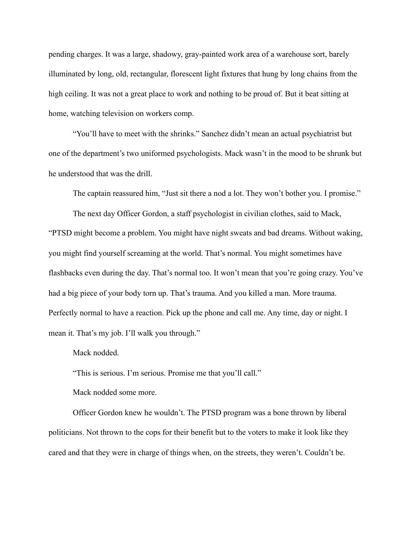pending charges. It was a large, shadowy, gray-painted work area of a warehouse sort, barely illuminated by long, old, rectangular, florescent light fixtures that hung by long chains from the high ceiling. It was not a great place to work and nothing to be proud of. But it beat sitting at home, watching television on workers comp.

"You'll have to meet with the shrinks." Sanchez didn't mean an actual psychiatrist but one of the department's two uniformed psychologists. Mack wasn't in the mood to be shrunk but he understood that was the drill.

The captain reassured him, "Just sit there a nod a lot. They won't bother you. I promise."

The next day Officer Gordon, a staff psychologist in civilian clothes, said to Mack, "PTSD might become a problem. You might have night sweats and bad dreams. Without waking, you might find yourself screaming at the world. That's normal. You might sometimes have flashbacks even during the day. That's normal too. It won't mean that you're going crazy. You've had a big piece of your body torn up. That's trauma. And you killed a man. More trauma. Perfectly normal to have a reaction. Pick up the phone and call me. Any time, day or night. I mean it. That's my job. I'll walk you through."

Mack nodded.

"This is serious. I'm serious. Promise me that you'll call."

Mack nodded some more.

Officer Gordon knew he wouldn't. The PTSD program was a bone thrown by liberal politicians. Not thrown to the cops for their benefit but to the voters to make it look like they cared and that they were in charge of things when, on the streets, they weren't. Couldn't be.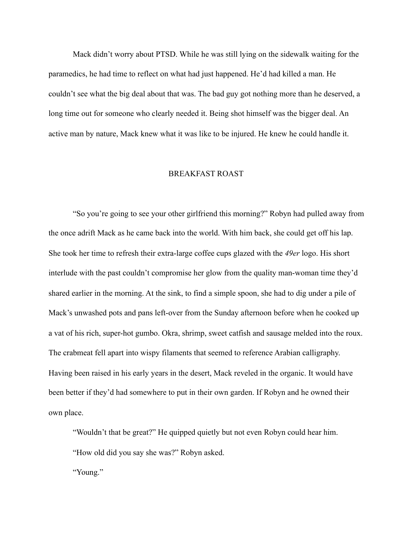Mack didn't worry about PTSD. While he was still lying on the sidewalk waiting for the paramedics, he had time to reflect on what had just happened. He'd had killed a man. He couldn't see what the big deal about that was. The bad guy got nothing more than he deserved, a long time out for someone who clearly needed it. Being shot himself was the bigger deal. An active man by nature, Mack knew what it was like to be injured. He knew he could handle it.

#### BREAKFAST ROAST

"So you're going to see your other girlfriend this morning?" Robyn had pulled away from the once adrift Mack as he came back into the world. With him back, she could get off his lap. She took her time to refresh their extra-large coffee cups glazed with the *49er* logo. His short interlude with the past couldn't compromise her glow from the quality man-woman time they'd shared earlier in the morning. At the sink, to find a simple spoon, she had to dig under a pile of Mack's unwashed pots and pans left-over from the Sunday afternoon before when he cooked up a vat of his rich, super-hot gumbo. Okra, shrimp, sweet catfish and sausage melded into the roux. The crabmeat fell apart into wispy filaments that seemed to reference Arabian calligraphy. Having been raised in his early years in the desert, Mack reveled in the organic. It would have been better if they'd had somewhere to put in their own garden. If Robyn and he owned their own place.

"Wouldn't that be great?" He quipped quietly but not even Robyn could hear him. "How old did you say she was?" Robyn asked.

"Young."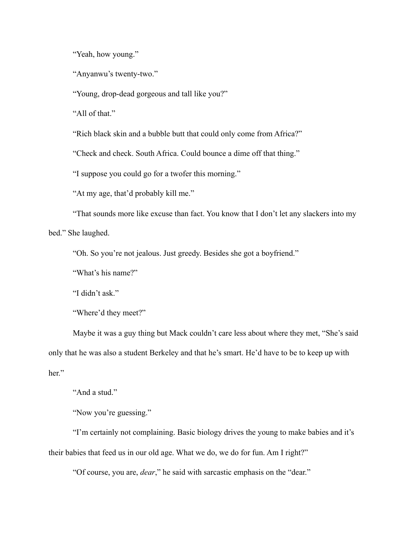"Yeah, how young."

"Anyanwu's twenty-two."

"Young, drop-dead gorgeous and tall like you?"

"All of that."

"Rich black skin and a bubble butt that could only come from Africa?"

"Check and check. South Africa. Could bounce a dime off that thing."

"I suppose you could go for a twofer this morning."

"At my age, that'd probably kill me."

"That sounds more like excuse than fact. You know that I don't let any slackers into my bed." She laughed.

"Oh. So you're not jealous. Just greedy. Besides she got a boyfriend."

"What's his name?"

"I didn't ask."

"Where'd they meet?"

Maybe it was a guy thing but Mack couldn't care less about where they met, "She's said only that he was also a student Berkeley and that he's smart. He'd have to be to keep up with her"

"And a stud."

"Now you're guessing."

"I'm certainly not complaining. Basic biology drives the young to make babies and it's their babies that feed us in our old age. What we do, we do for fun. Am I right?"

"Of course, you are, *dear*," he said with sarcastic emphasis on the "dear."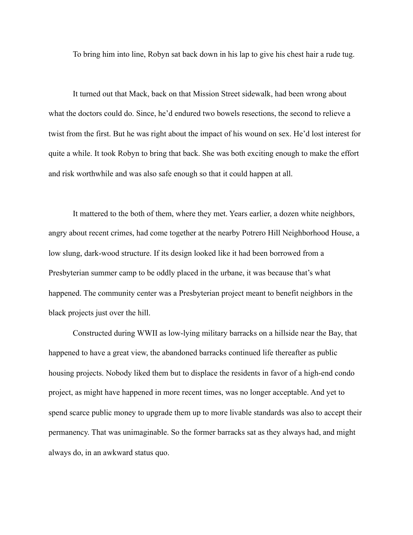To bring him into line, Robyn sat back down in his lap to give his chest hair a rude tug.

It turned out that Mack, back on that Mission Street sidewalk, had been wrong about what the doctors could do. Since, he'd endured two bowels resections, the second to relieve a twist from the first. But he was right about the impact of his wound on sex. He'd lost interest for quite a while. It took Robyn to bring that back. She was both exciting enough to make the effort and risk worthwhile and was also safe enough so that it could happen at all.

It mattered to the both of them, where they met. Years earlier, a dozen white neighbors, angry about recent crimes, had come together at the nearby Potrero Hill Neighborhood House, a low slung, dark-wood structure. If its design looked like it had been borrowed from a Presbyterian summer camp to be oddly placed in the urbane, it was because that's what happened. The community center was a Presbyterian project meant to benefit neighbors in the black projects just over the hill.

Constructed during WWII as low-lying military barracks on a hillside near the Bay, that happened to have a great view, the abandoned barracks continued life thereafter as public housing projects. Nobody liked them but to displace the residents in favor of a high-end condo project, as might have happened in more recent times, was no longer acceptable. And yet to spend scarce public money to upgrade them up to more livable standards was also to accept their permanency. That was unimaginable. So the former barracks sat as they always had, and might always do, in an awkward status quo.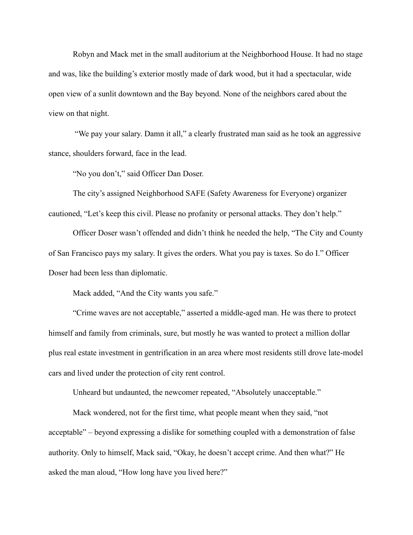Robyn and Mack met in the small auditorium at the Neighborhood House. It had no stage and was, like the building's exterior mostly made of dark wood, but it had a spectacular, wide open view of a sunlit downtown and the Bay beyond. None of the neighbors cared about the view on that night.

 "We pay your salary. Damn it all," a clearly frustrated man said as he took an aggressive stance, shoulders forward, face in the lead.

"No you don't," said Officer Dan Doser.

The city's assigned Neighborhood SAFE (Safety Awareness for Everyone) organizer cautioned, "Let's keep this civil. Please no profanity or personal attacks. They don't help."

Officer Doser wasn't offended and didn't think he needed the help, "The City and County of San Francisco pays my salary. It gives the orders. What you pay is taxes. So do I." Officer Doser had been less than diplomatic.

Mack added, "And the City wants you safe."

"Crime waves are not acceptable," asserted a middle-aged man. He was there to protect himself and family from criminals, sure, but mostly he was wanted to protect a million dollar plus real estate investment in gentrification in an area where most residents still drove late-model cars and lived under the protection of city rent control.

Unheard but undaunted, the newcomer repeated, "Absolutely unacceptable."

 Mack wondered, not for the first time, what people meant when they said, "not acceptable" – beyond expressing a dislike for something coupled with a demonstration of false authority. Only to himself, Mack said, "Okay, he doesn't accept crime. And then what?" He asked the man aloud, "How long have you lived here?"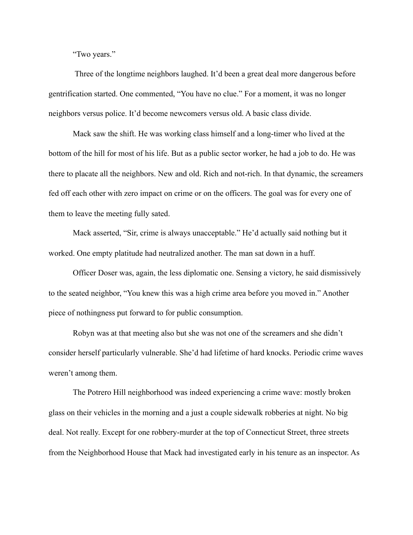"Two years."

 Three of the longtime neighbors laughed. It'd been a great deal more dangerous before gentrification started. One commented, "You have no clue." For a moment, it was no longer neighbors versus police. It'd become newcomers versus old. A basic class divide.

Mack saw the shift. He was working class himself and a long-timer who lived at the bottom of the hill for most of his life. But as a public sector worker, he had a job to do. He was there to placate all the neighbors. New and old. Rich and not-rich. In that dynamic, the screamers fed off each other with zero impact on crime or on the officers. The goal was for every one of them to leave the meeting fully sated.

Mack asserted, "Sir, crime is always unacceptable." He'd actually said nothing but it worked. One empty platitude had neutralized another. The man sat down in a huff.

Officer Doser was, again, the less diplomatic one. Sensing a victory, he said dismissively to the seated neighbor, "You knew this was a high crime area before you moved in." Another piece of nothingness put forward to for public consumption.

Robyn was at that meeting also but she was not one of the screamers and she didn't consider herself particularly vulnerable. She'd had lifetime of hard knocks. Periodic crime waves weren't among them.

 The Potrero Hill neighborhood was indeed experiencing a crime wave: mostly broken glass on their vehicles in the morning and a just a couple sidewalk robberies at night. No big deal. Not really. Except for one robbery-murder at the top of Connecticut Street, three streets from the Neighborhood House that Mack had investigated early in his tenure as an inspector. As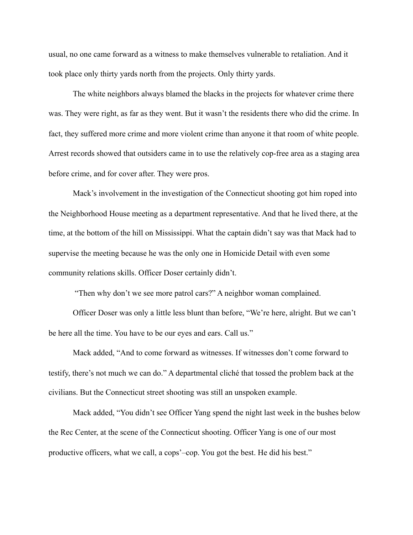usual, no one came forward as a witness to make themselves vulnerable to retaliation. And it took place only thirty yards north from the projects. Only thirty yards.

The white neighbors always blamed the blacks in the projects for whatever crime there was. They were right, as far as they went. But it wasn't the residents there who did the crime. In fact, they suffered more crime and more violent crime than anyone it that room of white people. Arrest records showed that outsiders came in to use the relatively cop-free area as a staging area before crime, and for cover after. They were pros.

Mack's involvement in the investigation of the Connecticut shooting got him roped into the Neighborhood House meeting as a department representative. And that he lived there, at the time, at the bottom of the hill on Mississippi. What the captain didn't say was that Mack had to supervise the meeting because he was the only one in Homicide Detail with even some community relations skills. Officer Doser certainly didn't.

"Then why don't we see more patrol cars?" A neighbor woman complained.

Officer Doser was only a little less blunt than before, "We're here, alright. But we can't be here all the time. You have to be our eyes and ears. Call us."

Mack added, "And to come forward as witnesses. If witnesses don't come forward to testify, there's not much we can do." A departmental cliché that tossed the problem back at the civilians. But the Connecticut street shooting was still an unspoken example.

Mack added, "You didn't see Officer Yang spend the night last week in the bushes below the Rec Center, at the scene of the Connecticut shooting. Officer Yang is one of our most productive officers, what we call, a cops'–cop. You got the best. He did his best."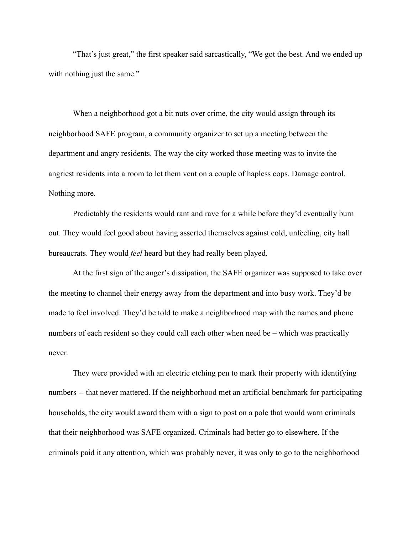"That's just great," the first speaker said sarcastically, "We got the best. And we ended up with nothing just the same."

When a neighborhood got a bit nuts over crime, the city would assign through its neighborhood SAFE program, a community organizer to set up a meeting between the department and angry residents. The way the city worked those meeting was to invite the angriest residents into a room to let them vent on a couple of hapless cops. Damage control. Nothing more.

Predictably the residents would rant and rave for a while before they'd eventually burn out. They would feel good about having asserted themselves against cold, unfeeling, city hall bureaucrats. They would *feel* heard but they had really been played.

At the first sign of the anger's dissipation, the SAFE organizer was supposed to take over the meeting to channel their energy away from the department and into busy work. They'd be made to feel involved. They'd be told to make a neighborhood map with the names and phone numbers of each resident so they could call each other when need be – which was practically never.

They were provided with an electric etching pen to mark their property with identifying numbers -- that never mattered. If the neighborhood met an artificial benchmark for participating households, the city would award them with a sign to post on a pole that would warn criminals that their neighborhood was SAFE organized. Criminals had better go to elsewhere. If the criminals paid it any attention, which was probably never, it was only to go to the neighborhood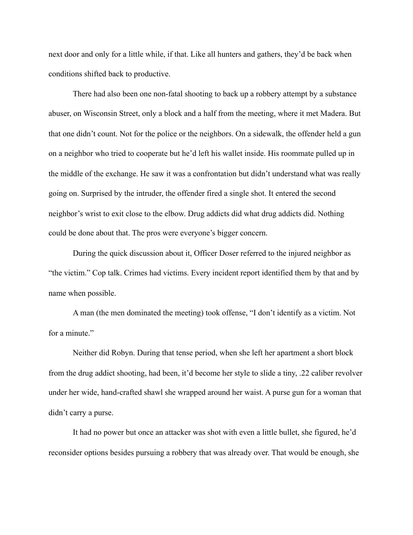next door and only for a little while, if that. Like all hunters and gathers, they'd be back when conditions shifted back to productive.

There had also been one non-fatal shooting to back up a robbery attempt by a substance abuser, on Wisconsin Street, only a block and a half from the meeting, where it met Madera. But that one didn't count. Not for the police or the neighbors. On a sidewalk, the offender held a gun on a neighbor who tried to cooperate but he'd left his wallet inside. His roommate pulled up in the middle of the exchange. He saw it was a confrontation but didn't understand what was really going on. Surprised by the intruder, the offender fired a single shot. It entered the second neighbor's wrist to exit close to the elbow. Drug addicts did what drug addicts did. Nothing could be done about that. The pros were everyone's bigger concern.

During the quick discussion about it, Officer Doser referred to the injured neighbor as "the victim." Cop talk. Crimes had victims. Every incident report identified them by that and by name when possible.

A man (the men dominated the meeting) took offense, "I don't identify as a victim. Not for a minute."

Neither did Robyn. During that tense period, when she left her apartment a short block from the drug addict shooting, had been, it'd become her style to slide a tiny, .22 caliber revolver under her wide, hand-crafted shawl she wrapped around her waist. A purse gun for a woman that didn't carry a purse.

It had no power but once an attacker was shot with even a little bullet, she figured, he'd reconsider options besides pursuing a robbery that was already over. That would be enough, she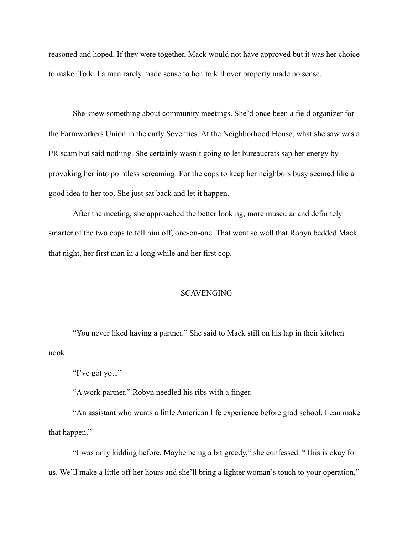reasoned and hoped. If they were together, Mack would not have approved but it was her choice to make. To kill a man rarely made sense to her, to kill over property made no sense.

She knew something about community meetings. She'd once been a field organizer for the Farmworkers Union in the early Seventies. At the Neighborhood House, what she saw was a PR scam but said nothing. She certainly wasn't going to let bureaucrats sap her energy by provoking her into pointless screaming. For the cops to keep her neighbors busy seemed like a good idea to her too. She just sat back and let it happen.

After the meeting, she approached the better looking, more muscular and definitely smarter of the two cops to tell him off, one-on-one. That went so well that Robyn bedded Mack that night, her first man in a long while and her first cop.

#### SCAVENGING

 "You never liked having a partner." She said to Mack still on his lap in their kitchen nook.

"I've got you."

"A work partner." Robyn needled his ribs with a finger.

"An assistant who wants a little American life experience before grad school. I can make that happen."

"I was only kidding before. Maybe being a bit greedy," she confessed. "This is okay for us. We'll make a little off her hours and she'll bring a lighter woman's touch to your operation."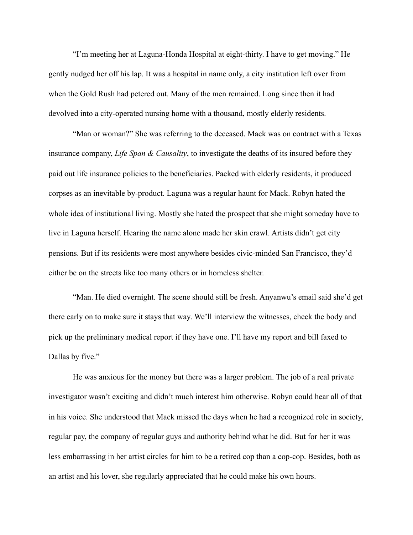"I'm meeting her at Laguna-Honda Hospital at eight-thirty. I have to get moving." He gently nudged her off his lap. It was a hospital in name only, a city institution left over from when the Gold Rush had petered out. Many of the men remained. Long since then it had devolved into a city-operated nursing home with a thousand, mostly elderly residents.

"Man or woman?" She was referring to the deceased. Mack was on contract with a Texas insurance company, *Life Span & Causality*, to investigate the deaths of its insured before they paid out life insurance policies to the beneficiaries. Packed with elderly residents, it produced corpses as an inevitable by-product. Laguna was a regular haunt for Mack. Robyn hated the whole idea of institutional living. Mostly she hated the prospect that she might someday have to live in Laguna herself. Hearing the name alone made her skin crawl. Artists didn't get city pensions. But if its residents were most anywhere besides civic-minded San Francisco, they'd either be on the streets like too many others or in homeless shelter.

"Man. He died overnight. The scene should still be fresh. Anyanwu's email said she'd get there early on to make sure it stays that way. We'll interview the witnesses, check the body and pick up the preliminary medical report if they have one. I'll have my report and bill faxed to Dallas by five."

He was anxious for the money but there was a larger problem. The job of a real private investigator wasn't exciting and didn't much interest him otherwise. Robyn could hear all of that in his voice. She understood that Mack missed the days when he had a recognized role in society, regular pay, the company of regular guys and authority behind what he did. But for her it was less embarrassing in her artist circles for him to be a retired cop than a cop-cop. Besides, both as an artist and his lover, she regularly appreciated that he could make his own hours.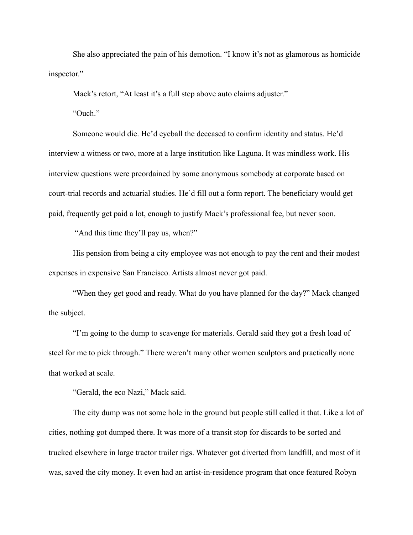She also appreciated the pain of his demotion. "I know it's not as glamorous as homicide inspector."

Mack's retort, "At least it's a full step above auto claims adjuster."

"Ouch."

Someone would die. He'd eyeball the deceased to confirm identity and status. He'd interview a witness or two, more at a large institution like Laguna. It was mindless work. His interview questions were preordained by some anonymous somebody at corporate based on court-trial records and actuarial studies. He'd fill out a form report. The beneficiary would get paid, frequently get paid a lot, enough to justify Mack's professional fee, but never soon.

"And this time they'll pay us, when?"

His pension from being a city employee was not enough to pay the rent and their modest expenses in expensive San Francisco. Artists almost never got paid.

"When they get good and ready. What do you have planned for the day?" Mack changed the subject.

"I'm going to the dump to scavenge for materials. Gerald said they got a fresh load of steel for me to pick through." There weren't many other women sculptors and practically none that worked at scale.

"Gerald, the eco Nazi," Mack said.

The city dump was not some hole in the ground but people still called it that. Like a lot of cities, nothing got dumped there. It was more of a transit stop for discards to be sorted and trucked elsewhere in large tractor trailer rigs. Whatever got diverted from landfill, and most of it was, saved the city money. It even had an artist-in-residence program that once featured Robyn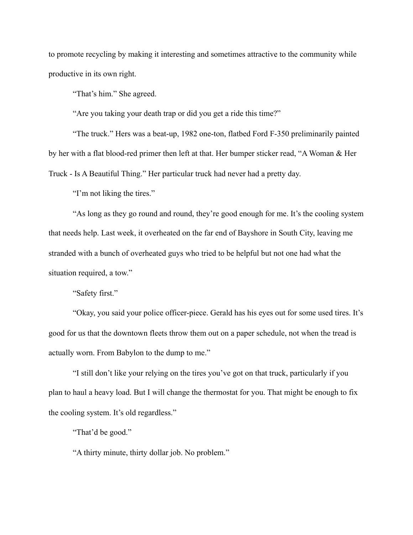to promote recycling by making it interesting and sometimes attractive to the community while productive in its own right.

"That's him." She agreed.

"Are you taking your death trap or did you get a ride this time?"

"The truck." Hers was a beat-up, 1982 one-ton, flatbed Ford F-350 preliminarily painted by her with a flat blood-red primer then left at that. Her bumper sticker read, "A Woman & Her Truck - Is A Beautiful Thing." Her particular truck had never had a pretty day.

"I'm not liking the tires."

"As long as they go round and round, they're good enough for me. It's the cooling system that needs help. Last week, it overheated on the far end of Bayshore in South City, leaving me stranded with a bunch of overheated guys who tried to be helpful but not one had what the situation required, a tow."

"Safety first."

"Okay, you said your police officer-piece. Gerald has his eyes out for some used tires. It's good for us that the downtown fleets throw them out on a paper schedule, not when the tread is actually worn. From Babylon to the dump to me."

"I still don't like your relying on the tires you've got on that truck, particularly if you plan to haul a heavy load. But I will change the thermostat for you. That might be enough to fix the cooling system. It's old regardless."

"That'd be good."

"A thirty minute, thirty dollar job. No problem."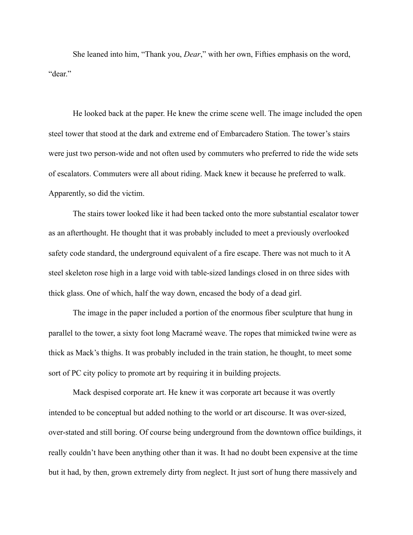She leaned into him, "Thank you, *Dear*," with her own, Fifties emphasis on the word, "dear."

He looked back at the paper. He knew the crime scene well. The image included the open steel tower that stood at the dark and extreme end of Embarcadero Station. The tower's stairs were just two person-wide and not often used by commuters who preferred to ride the wide sets of escalators. Commuters were all about riding. Mack knew it because he preferred to walk. Apparently, so did the victim.

The stairs tower looked like it had been tacked onto the more substantial escalator tower as an afterthought. He thought that it was probably included to meet a previously overlooked safety code standard, the underground equivalent of a fire escape. There was not much to it A steel skeleton rose high in a large void with table-sized landings closed in on three sides with thick glass. One of which, half the way down, encased the body of a dead girl.

The image in the paper included a portion of the enormous fiber sculpture that hung in parallel to the tower, a sixty foot long Macramé weave. The ropes that mimicked twine were as thick as Mack's thighs. It was probably included in the train station, he thought, to meet some sort of PC city policy to promote art by requiring it in building projects.

Mack despised corporate art. He knew it was corporate art because it was overtly intended to be conceptual but added nothing to the world or art discourse. It was over-sized, over-stated and still boring. Of course being underground from the downtown office buildings, it really couldn't have been anything other than it was. It had no doubt been expensive at the time but it had, by then, grown extremely dirty from neglect. It just sort of hung there massively and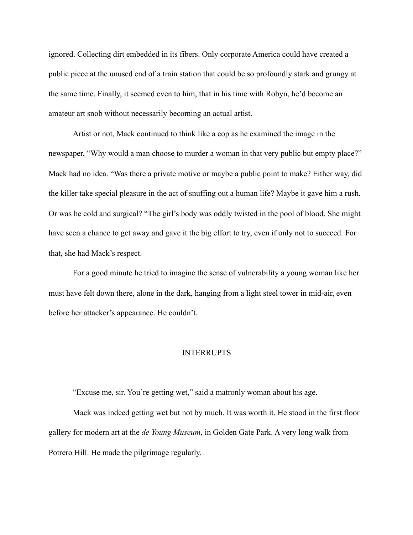ignored. Collecting dirt embedded in its fibers. Only corporate America could have created a public piece at the unused end of a train station that could be so profoundly stark and grungy at the same time. Finally, it seemed even to him, that in his time with Robyn, he'd become an amateur art snob without necessarily becoming an actual artist.

Artist or not, Mack continued to think like a cop as he examined the image in the newspaper, "Why would a man choose to murder a woman in that very public but empty place?" Mack had no idea. "Was there a private motive or maybe a public point to make? Either way, did the killer take special pleasure in the act of snuffing out a human life? Maybe it gave him a rush. Or was he cold and surgical? "The girl's body was oddly twisted in the pool of blood. She might have seen a chance to get away and gave it the big effort to try, even if only not to succeed. For that, she had Mack's respect.

For a good minute he tried to imagine the sense of vulnerability a young woman like her must have felt down there, alone in the dark, hanging from a light steel tower in mid-air, even before her attacker's appearance. He couldn't.

### INTERRUPTS

"Excuse me, sir. You're getting wet," said a matronly woman about his age.

Mack was indeed getting wet but not by much. It was worth it. He stood in the first floor gallery for modern art at the *de Young Museum*, in Golden Gate Park. A very long walk from Potrero Hill. He made the pilgrimage regularly.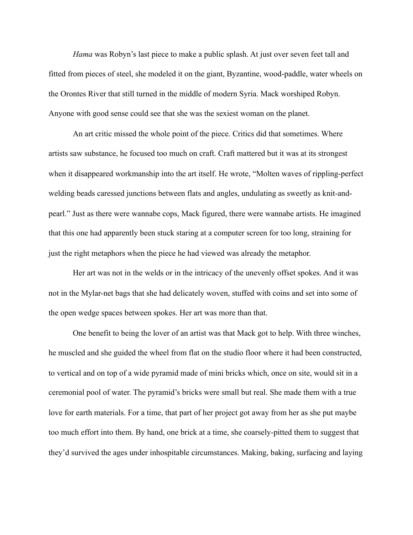*Hama* was Robyn's last piece to make a public splash. At just over seven feet tall and fitted from pieces of steel, she modeled it on the giant, Byzantine, wood-paddle, water wheels on the Orontes River that still turned in the middle of modern Syria. Mack worshiped Robyn. Anyone with good sense could see that she was the sexiest woman on the planet.

An art critic missed the whole point of the piece. Critics did that sometimes. Where artists saw substance, he focused too much on craft. Craft mattered but it was at its strongest when it disappeared workmanship into the art itself. He wrote, "Molten waves of rippling-perfect welding beads caressed junctions between flats and angles, undulating as sweetly as knit-andpearl." Just as there were wannabe cops, Mack figured, there were wannabe artists. He imagined that this one had apparently been stuck staring at a computer screen for too long, straining for just the right metaphors when the piece he had viewed was already the metaphor.

Her art was not in the welds or in the intricacy of the unevenly offset spokes. And it was not in the Mylar-net bags that she had delicately woven, stuffed with coins and set into some of the open wedge spaces between spokes. Her art was more than that.

One benefit to being the lover of an artist was that Mack got to help. With three winches, he muscled and she guided the wheel from flat on the studio floor where it had been constructed, to vertical and on top of a wide pyramid made of mini bricks which, once on site, would sit in a ceremonial pool of water. The pyramid's bricks were small but real. She made them with a true love for earth materials. For a time, that part of her project got away from her as she put maybe too much effort into them. By hand, one brick at a time, she coarsely-pitted them to suggest that they'd survived the ages under inhospitable circumstances. Making, baking, surfacing and laying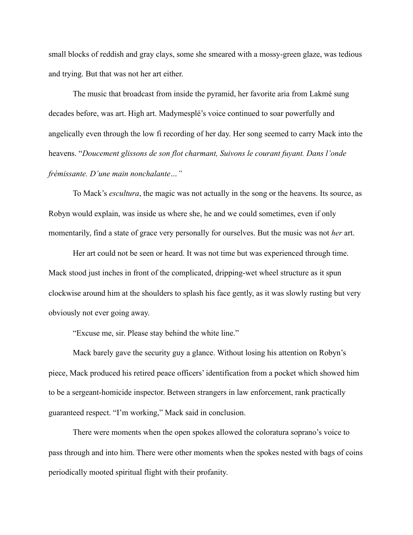small blocks of reddish and gray clays, some she smeared with a mossy-green glaze, was tedious and trying. But that was not her art either.

The music that broadcast from inside the pyramid, her favorite aria from Lakmé sung decades before, was art. High art. Madymesplé's voice continued to soar powerfully and angelically even through the low fi recording of her day. Her song seemed to carry Mack into the heavens. "*Doucement glissons de son flot charmant, Suivons le courant fuyant. Dans l'onde frémissante. D'une main nonchalante…"*

To Mack's *escultura*, the magic was not actually in the song or the heavens. Its source, as Robyn would explain, was inside us where she, he and we could sometimes, even if only momentarily, find a state of grace very personally for ourselves. But the music was not *her* art.

Her art could not be seen or heard. It was not time but was experienced through time. Mack stood just inches in front of the complicated, dripping-wet wheel structure as it spun clockwise around him at the shoulders to splash his face gently, as it was slowly rusting but very obviously not ever going away.

"Excuse me, sir. Please stay behind the white line."

Mack barely gave the security guy a glance. Without losing his attention on Robyn's piece, Mack produced his retired peace officers' identification from a pocket which showed him to be a sergeant-homicide inspector. Between strangers in law enforcement, rank practically guaranteed respect. "I'm working," Mack said in conclusion.

There were moments when the open spokes allowed the coloratura soprano's voice to pass through and into him. There were other moments when the spokes nested with bags of coins periodically mooted spiritual flight with their profanity.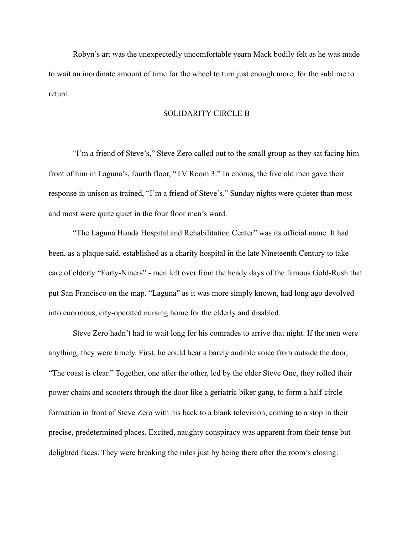Robyn's art was the unexpectedly uncomfortable yearn Mack bodily felt as he was made to wait an inordinate amount of time for the wheel to turn just enough more, for the sublime to return.

## SOLIDARITY CIRCLE B

 "I'm a friend of Steve's," Steve Zero called out to the small group as they sat facing him front of him in Laguna's, fourth floor, "TV Room 3." In chorus, the five old men gave their response in unison as trained, "I'm a friend of Steve's." Sunday nights were quieter than most and most were quite quiet in the four floor men's ward.

"The Laguna Honda Hospital and Rehabilitation Center" was its official name. It had been, as a plaque said, established as a charity hospital in the late Nineteenth Century to take care of elderly "Forty-Niners" - men left over from the heady days of the famous Gold-Rush that put San Francisco on the map. "Laguna" as it was more simply known, had long ago devolved into enormous, city-operated nursing home for the elderly and disabled.

Steve Zero hadn't had to wait long for his comrades to arrive that night. If the men were anything, they were timely. First, he could hear a barely audible voice from outside the door, "The coast is clear." Together, one after the other, led by the elder Steve One, they rolled their power chairs and scooters through the door like a geriatric biker gang, to form a half-circle formation in front of Steve Zero with his back to a blank television, coming to a stop in their precise, predetermined places. Excited, naughty conspiracy was apparent from their tense but delighted faces. They were breaking the rules just by being there after the room's closing.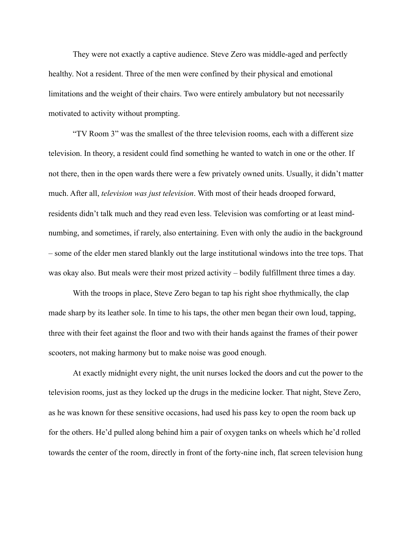They were not exactly a captive audience. Steve Zero was middle-aged and perfectly healthy. Not a resident. Three of the men were confined by their physical and emotional limitations and the weight of their chairs. Two were entirely ambulatory but not necessarily motivated to activity without prompting.

"TV Room 3" was the smallest of the three television rooms, each with a different size television. In theory, a resident could find something he wanted to watch in one or the other. If not there, then in the open wards there were a few privately owned units. Usually, it didn't matter much. After all, *television was just television*. With most of their heads drooped forward, residents didn't talk much and they read even less. Television was comforting or at least mindnumbing, and sometimes, if rarely, also entertaining. Even with only the audio in the background – some of the elder men stared blankly out the large institutional windows into the tree tops. That was okay also. But meals were their most prized activity – bodily fulfillment three times a day.

 With the troops in place, Steve Zero began to tap his right shoe rhythmically, the clap made sharp by its leather sole. In time to his taps, the other men began their own loud, tapping, three with their feet against the floor and two with their hands against the frames of their power scooters, not making harmony but to make noise was good enough.

 At exactly midnight every night, the unit nurses locked the doors and cut the power to the television rooms, just as they locked up the drugs in the medicine locker. That night, Steve Zero, as he was known for these sensitive occasions, had used his pass key to open the room back up for the others. He'd pulled along behind him a pair of oxygen tanks on wheels which he'd rolled towards the center of the room, directly in front of the forty-nine inch, flat screen television hung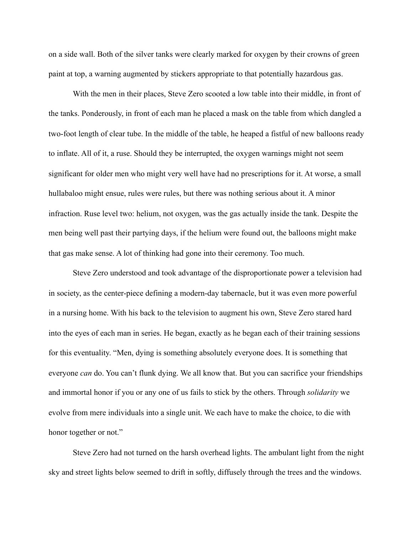on a side wall. Both of the silver tanks were clearly marked for oxygen by their crowns of green paint at top, a warning augmented by stickers appropriate to that potentially hazardous gas.

With the men in their places, Steve Zero scooted a low table into their middle, in front of the tanks. Ponderously, in front of each man he placed a mask on the table from which dangled a two-foot length of clear tube. In the middle of the table, he heaped a fistful of new balloons ready to inflate. All of it, a ruse. Should they be interrupted, the oxygen warnings might not seem significant for older men who might very well have had no prescriptions for it. At worse, a small hullabaloo might ensue, rules were rules, but there was nothing serious about it. A minor infraction. Ruse level two: helium, not oxygen, was the gas actually inside the tank. Despite the men being well past their partying days, if the helium were found out, the balloons might make that gas make sense. A lot of thinking had gone into their ceremony. Too much.

Steve Zero understood and took advantage of the disproportionate power a television had in society, as the center-piece defining a modern-day tabernacle, but it was even more powerful in a nursing home. With his back to the television to augment his own, Steve Zero stared hard into the eyes of each man in series. He began, exactly as he began each of their training sessions for this eventuality. "Men, dying is something absolutely everyone does. It is something that everyone *can* do. You can't flunk dying. We all know that. But you can sacrifice your friendships and immortal honor if you or any one of us fails to stick by the others. Through *solidarity* we evolve from mere individuals into a single unit. We each have to make the choice, to die with honor together or not."

Steve Zero had not turned on the harsh overhead lights. The ambulant light from the night sky and street lights below seemed to drift in softly, diffusely through the trees and the windows.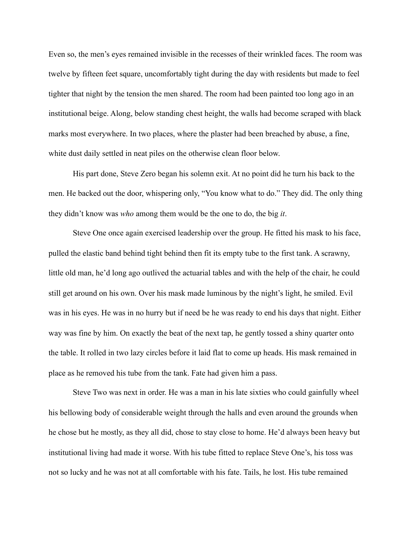Even so, the men's eyes remained invisible in the recesses of their wrinkled faces. The room was twelve by fifteen feet square, uncomfortably tight during the day with residents but made to feel tighter that night by the tension the men shared. The room had been painted too long ago in an institutional beige. Along, below standing chest height, the walls had become scraped with black marks most everywhere. In two places, where the plaster had been breached by abuse, a fine, white dust daily settled in neat piles on the otherwise clean floor below.

His part done, Steve Zero began his solemn exit. At no point did he turn his back to the men. He backed out the door, whispering only, "You know what to do." They did. The only thing they didn't know was *who* among them would be the one to do, the big *it*.

Steve One once again exercised leadership over the group. He fitted his mask to his face, pulled the elastic band behind tight behind then fit its empty tube to the first tank. A scrawny, little old man, he'd long ago outlived the actuarial tables and with the help of the chair, he could still get around on his own. Over his mask made luminous by the night's light, he smiled. Evil was in his eyes. He was in no hurry but if need be he was ready to end his days that night. Either way was fine by him. On exactly the beat of the next tap, he gently tossed a shiny quarter onto the table. It rolled in two lazy circles before it laid flat to come up heads. His mask remained in place as he removed his tube from the tank. Fate had given him a pass.

Steve Two was next in order. He was a man in his late sixties who could gainfully wheel his bellowing body of considerable weight through the halls and even around the grounds when he chose but he mostly, as they all did, chose to stay close to home. He'd always been heavy but institutional living had made it worse. With his tube fitted to replace Steve One's, his toss was not so lucky and he was not at all comfortable with his fate. Tails, he lost. His tube remained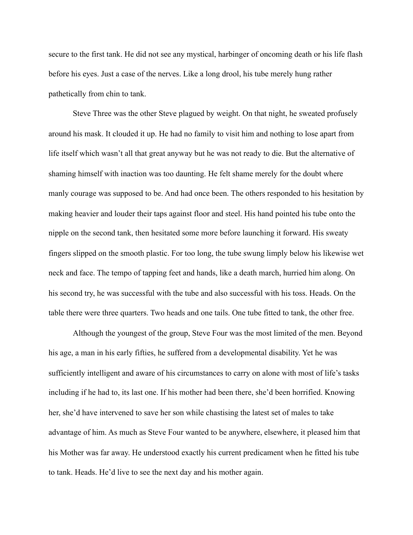secure to the first tank. He did not see any mystical, harbinger of oncoming death or his life flash before his eyes. Just a case of the nerves. Like a long drool, his tube merely hung rather pathetically from chin to tank.

Steve Three was the other Steve plagued by weight. On that night, he sweated profusely around his mask. It clouded it up. He had no family to visit him and nothing to lose apart from life itself which wasn't all that great anyway but he was not ready to die. But the alternative of shaming himself with inaction was too daunting. He felt shame merely for the doubt where manly courage was supposed to be. And had once been. The others responded to his hesitation by making heavier and louder their taps against floor and steel. His hand pointed his tube onto the nipple on the second tank, then hesitated some more before launching it forward. His sweaty fingers slipped on the smooth plastic. For too long, the tube swung limply below his likewise wet neck and face. The tempo of tapping feet and hands, like a death march, hurried him along. On his second try, he was successful with the tube and also successful with his toss. Heads. On the table there were three quarters. Two heads and one tails. One tube fitted to tank, the other free.

Although the youngest of the group, Steve Four was the most limited of the men. Beyond his age, a man in his early fifties, he suffered from a developmental disability. Yet he was sufficiently intelligent and aware of his circumstances to carry on alone with most of life's tasks including if he had to, its last one. If his mother had been there, she'd been horrified. Knowing her, she'd have intervened to save her son while chastising the latest set of males to take advantage of him. As much as Steve Four wanted to be anywhere, elsewhere, it pleased him that his Mother was far away. He understood exactly his current predicament when he fitted his tube to tank. Heads. He'd live to see the next day and his mother again.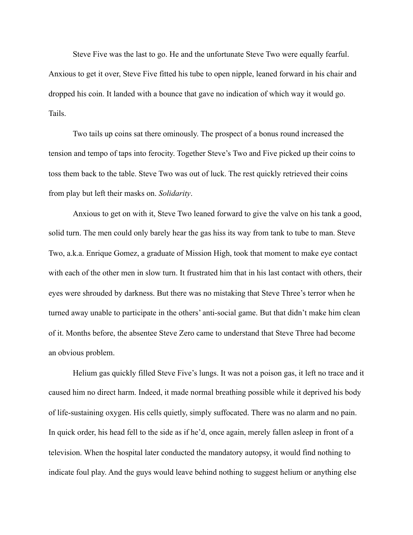Steve Five was the last to go. He and the unfortunate Steve Two were equally fearful. Anxious to get it over, Steve Five fitted his tube to open nipple, leaned forward in his chair and dropped his coin. It landed with a bounce that gave no indication of which way it would go. Tails.

Two tails up coins sat there ominously. The prospect of a bonus round increased the tension and tempo of taps into ferocity. Together Steve's Two and Five picked up their coins to toss them back to the table. Steve Two was out of luck. The rest quickly retrieved their coins from play but left their masks on. *Solidarity*.

Anxious to get on with it, Steve Two leaned forward to give the valve on his tank a good, solid turn. The men could only barely hear the gas hiss its way from tank to tube to man. Steve Two, a.k.a. Enrique Gomez, a graduate of Mission High, took that moment to make eye contact with each of the other men in slow turn. It frustrated him that in his last contact with others, their eyes were shrouded by darkness. But there was no mistaking that Steve Three's terror when he turned away unable to participate in the others' anti-social game. But that didn't make him clean of it. Months before, the absentee Steve Zero came to understand that Steve Three had become an obvious problem.

Helium gas quickly filled Steve Five's lungs. It was not a poison gas, it left no trace and it caused him no direct harm. Indeed, it made normal breathing possible while it deprived his body of life-sustaining oxygen. His cells quietly, simply suffocated. There was no alarm and no pain. In quick order, his head fell to the side as if he'd, once again, merely fallen asleep in front of a television. When the hospital later conducted the mandatory autopsy, it would find nothing to indicate foul play. And the guys would leave behind nothing to suggest helium or anything else